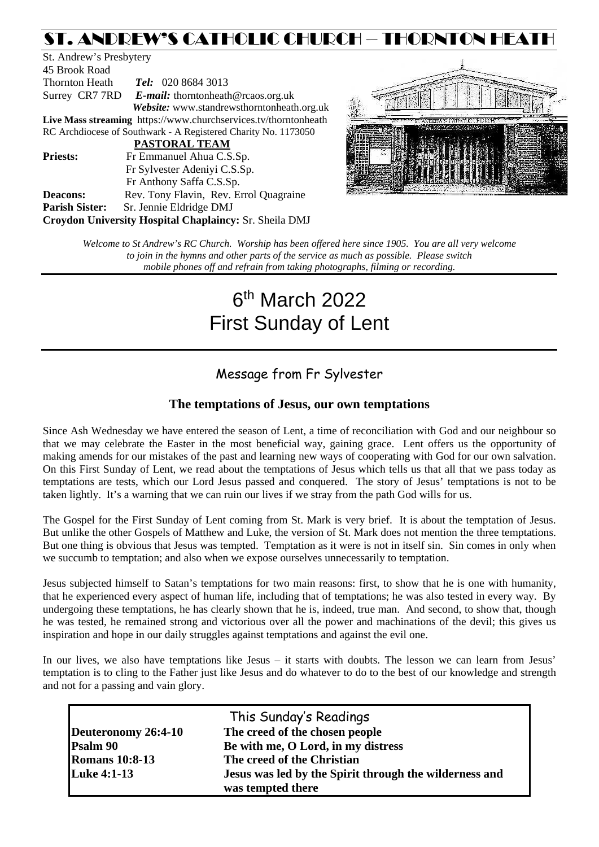# ST. ANDREW'S CATHOLIC CHURCH – THORNTON HEATH

St. Andrew's Presbytery 45 Brook Road Thornton Heath *Tel:* 020 8684 3013 Surrey CR7 7RD *E-mail:* [thorntonheath@rcaos.org.uk](mailto:thorntonheath@rcaos.org.uk) *Website:* www.standrewsthorntonheath.org.uk **Live Mass streaming** <https://www.churchservices.tv/thorntonheath> RC Archdiocese of Southwark - A Registered Charity No. 1173050  **PASTORAL TEAM Priests:** Fr Emmanuel Ahua C.S.Sp. Fr Sylvester Adeniyi C.S.Sp. Fr Anthony Saffa C.S.Sp. **Deacons:** Rev. Tony Flavin, Rev. Errol Quagraine **Parish Sister:** Sr. Jennie Eldridge DMJ **Croydon University Hospital Chaplaincy:** Sr. Sheila DMJ



*Welcome to St Andrew's RC Church. Worship has been offered here since 1905. You are all very welcome to join in the hymns and other parts of the service as much as possible. Please switch mobile phones off and refrain from taking photographs, filming or recording.*

# 6th March 2022 First Sunday of Lent

# Message from Fr Sylvester

# **The temptations of Jesus, our own temptations**

Since Ash Wednesday we have entered the season of Lent, a time of reconciliation with God and our neighbour so that we may celebrate the Easter in the most beneficial way, gaining grace. Lent offers us the opportunity of making amends for our mistakes of the past and learning new ways of cooperating with God for our own salvation. On this First Sunday of Lent, we read about the temptations of Jesus which tells us that all that we pass today as temptations are tests, which our Lord Jesus passed and conquered. The story of Jesus' temptations is not to be taken lightly. It's a warning that we can ruin our lives if we stray from the path God wills for us.

The Gospel for the First Sunday of Lent coming from St. Mark is very brief. It is about the temptation of Jesus. But unlike the other Gospels of Matthew and Luke, the version of St. Mark does not mention the three temptations. But one thing is obvious that Jesus was tempted. Temptation as it were is not in itself sin. Sin comes in only when we succumb to temptation; and also when we expose ourselves unnecessarily to temptation.

Jesus subjected himself to Satan's temptations for two main reasons: first, to show that he is one with humanity, that he experienced every aspect of human life, including that of temptations; he was also tested in every way. By undergoing these temptations, he has clearly shown that he is, indeed, true man. And second, to show that, though he was tested, he remained strong and victorious over all the power and machinations of the devil; this gives us inspiration and hope in our daily struggles against temptations and against the evil one.

In our lives, we also have temptations like Jesus – it starts with doubts. The lesson we can learn from Jesus' temptation is to cling to the Father just like Jesus and do whatever to do to the best of our knowledge and strength and not for a passing and vain glory.

|                       | This Sunday's Readings                                 |  |  |
|-----------------------|--------------------------------------------------------|--|--|
| Deuteronomy 26:4-10   | The creed of the chosen people                         |  |  |
| <b>Psalm 90</b>       | Be with me, O Lord, in my distress                     |  |  |
| <b>Romans</b> 10:8-13 | The creed of the Christian                             |  |  |
| <b>Luke 4:1-13</b>    | Jesus was led by the Spirit through the wilderness and |  |  |
|                       | was tempted there                                      |  |  |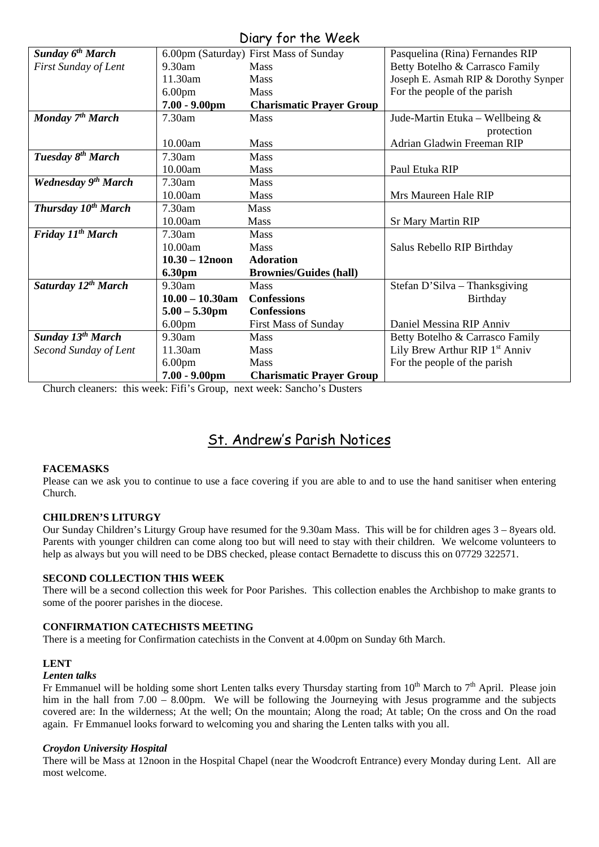# Diary for the Week

|                                 |                    | UNIY JUI IIIC WEEN                     |                                            |
|---------------------------------|--------------------|----------------------------------------|--------------------------------------------|
| Sunday 6 <sup>th</sup> March    |                    | 6.00pm (Saturday) First Mass of Sunday | Pasquelina (Rina) Fernandes RIP            |
| First Sunday of Lent            | 9.30am             | <b>Mass</b>                            | Betty Botelho & Carrasco Family            |
|                                 | 11.30am            | <b>Mass</b>                            | Joseph E. Asmah RIP & Dorothy Synper       |
|                                 | 6.00 <sub>pm</sub> | <b>Mass</b>                            | For the people of the parish               |
|                                 | $7.00 - 9.00$ pm   | <b>Charismatic Prayer Group</b>        |                                            |
| Monday 7 <sup>th</sup> March    | 7.30am             | <b>Mass</b>                            | Jude-Martin Etuka – Wellbeing $\&$         |
|                                 |                    |                                        | protection                                 |
|                                 | 10.00am            | <b>Mass</b>                            | Adrian Gladwin Freeman RIP                 |
| Tuesday 8 <sup>th</sup> March   | 7.30am             | <b>Mass</b>                            |                                            |
|                                 | 10.00am            | <b>Mass</b>                            | Paul Etuka RIP                             |
| Wednesday 9 <sup>th</sup> March | 7.30am             | <b>Mass</b>                            |                                            |
|                                 | 10.00am            | <b>Mass</b>                            | Mrs Maureen Hale RIP                       |
| Thursday 10 <sup>th</sup> March | 7.30am             | <b>Mass</b>                            |                                            |
|                                 | 10.00am            | <b>Mass</b>                            | <b>Sr Mary Martin RIP</b>                  |
| Friday 11 <sup>th</sup> March   | 7.30am             | <b>Mass</b>                            |                                            |
|                                 | 10.00am            | <b>Mass</b>                            | Salus Rebello RIP Birthday                 |
|                                 | $10.30 - 12$ noon  | <b>Adoration</b>                       |                                            |
|                                 | 6.30pm             | <b>Brownies/Guides (hall)</b>          |                                            |
| Saturday 12th March             | $9.30$ am          | <b>Mass</b>                            | Stefan D'Silva - Thanksgiving              |
|                                 | $10.00 - 10.30$ am | <b>Confessions</b>                     | Birthday                                   |
|                                 | $5.00 - 5.30$ pm   | <b>Confessions</b>                     |                                            |
|                                 | 6.00 <sub>pm</sub> | <b>First Mass of Sunday</b>            | Daniel Messina RIP Anniv                   |
| <b>Sunday 13th March</b>        | 9.30am             | <b>Mass</b>                            | Betty Botelho & Carrasco Family            |
| Second Sunday of Lent           | 11.30am            | <b>Mass</b>                            | Lily Brew Arthur RIP 1 <sup>st</sup> Anniv |
|                                 | 6.00 <sub>pm</sub> | <b>Mass</b>                            | For the people of the parish               |
|                                 | $7.00 - 9.00$ pm   | <b>Charismatic Prayer Group</b>        |                                            |

Church cleaners: this week: Fifi's Group, next week: Sancho's Dusters

# St. Andrew's Parish Notices

# **FACEMASKS**

Please can we ask you to continue to use a face covering if you are able to and to use the hand sanitiser when entering Church.

# **CHILDREN'S LITURGY**

Our Sunday Children's Liturgy Group have resumed for the 9.30am Mass. This will be for children ages 3 – 8years old. Parents with younger children can come along too but will need to stay with their children. We welcome volunteers to help as always but you will need to be DBS checked, please contact Bernadette to discuss this on 07729 322571.

#### **SECOND COLLECTION THIS WEEK**

There will be a second collection this week for Poor Parishes. This collection enables the Archbishop to make grants to some of the poorer parishes in the diocese.

#### **CONFIRMATION CATECHISTS MEETING**

There is a meeting for Confirmation catechists in the Convent at 4.00pm on Sunday 6th March.

#### **LENT**

#### *Lenten talks*

Fr Emmanuel will be holding some short Lenten talks every Thursday starting from  $10^{th}$  March to  $7^{th}$  April. Please join him in the hall from 7.00 – 8.00pm. We will be following the Journeying with Jesus programme and the subjects covered are: In the wilderness; At the well; On the mountain; Along the road; At table; On the cross and On the road again. Fr Emmanuel looks forward to welcoming you and sharing the Lenten talks with you all.

#### *Croydon University Hospital*

There will be Mass at 12noon in the Hospital Chapel (near the Woodcroft Entrance) every Monday during Lent. All are most welcome.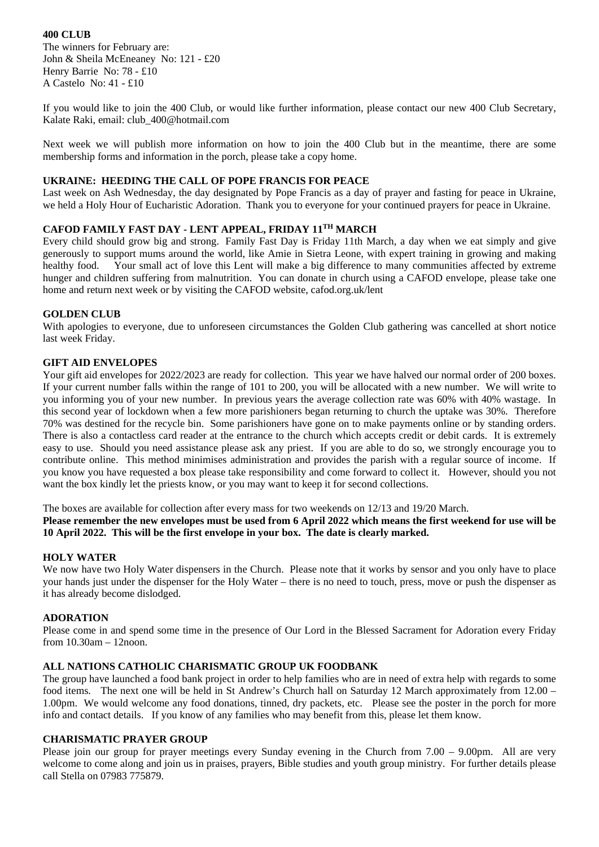# **400 CLUB**

The winners for February are: John & Sheila McEneaney No: 121 - £20 Henry Barrie No: 78 - £10 A Castelo No: 41 - £10

If you would like to join the 400 Club, or would like further information, please contact our new 400 Club Secretary, Kalate Raki, email: [club\\_400@hotmail.com](mailto:club_400@hotmail.com)

Next week we will publish more information on how to join the 400 Club but in the meantime, there are some membership forms and information in the porch, please take a copy home.

#### **UKRAINE: HEEDING THE CALL OF POPE FRANCIS FOR PEACE**

Last week on Ash Wednesday, the day designated by Pope Francis as a day of prayer and fasting for peace in Ukraine, we held a Holy Hour of Eucharistic Adoration. Thank you to everyone for your continued prayers for peace in Ukraine.

# **CAFOD FAMILY FAST DAY - LENT APPEAL, FRIDAY 11TH MARCH**

Every child should grow big and strong. Family Fast Day is Friday 11th March, a day when we eat simply and give generously to support mums around the world, like Amie in Sietra Leone, with expert training in growing and making healthy food. Your small act of love this Lent will make a big difference to many communities affected by extreme hunger and children suffering from malnutrition. You can donate in church using a CAFOD envelope, please take one home and return next week or by visiting the CAFOD website, cafod.org.uk/lent

# **GOLDEN CLUB**

With apologies to everyone, due to unforeseen circumstances the Golden Club gathering was cancelled at short notice last week Friday.

# **GIFT AID ENVELOPES**

Your gift aid envelopes for 2022/2023 are ready for collection. This year we have halved our normal order of 200 boxes. If your current number falls within the range of 101 to 200, you will be allocated with a new number. We will write to you informing you of your new number. In previous years the average collection rate was 60% with 40% wastage. In this second year of lockdown when a few more parishioners began returning to church the uptake was 30%. Therefore 70% was destined for the recycle bin. Some parishioners have gone on to make payments online or by standing orders. There is also a contactless card reader at the entrance to the church which accepts credit or debit cards. It is extremely easy to use. Should you need assistance please ask any priest. If you are able to do so, we strongly encourage you to contribute online. This method minimises administration and provides the parish with a regular source of income. If you know you have requested a box please take responsibility and come forward to collect it. However, should you not want the box kindly let the priests know, or you may want to keep it for second collections.

The boxes are available for collection after every mass for two weekends on 12/13 and 19/20 March.

**Please remember the new envelopes must be used from 6 April 2022 which means the first weekend for use will be 10 April 2022. This will be the first envelope in your box. The date is clearly marked.**

# **HOLY WATER**

We now have two Holy Water dispensers in the Church. Please note that it works by sensor and you only have to place your hands just under the dispenser for the Holy Water – there is no need to touch, press, move or push the dispenser as it has already become dislodged.

# **ADORATION**

Please come in and spend some time in the presence of Our Lord in the Blessed Sacrament for Adoration every Friday from 10.30am – 12noon.

# **ALL NATIONS CATHOLIC CHARISMATIC GROUP UK FOODBANK**

The group have launched a food bank project in order to help families who are in need of extra help with regards to some food items. The next one will be held in St Andrew's Church hall on Saturday 12 March approximately from 12.00 – 1.00pm. We would welcome any food donations, tinned, dry packets, etc. Please see the poster in the porch for more info and contact details. If you know of any families who may benefit from this, please let them know.

#### **CHARISMATIC PRAYER GROUP**

Please join our group for prayer meetings every Sunday evening in the Church from 7.00 – 9.00pm. All are very welcome to come along and join us in praises, prayers, Bible studies and youth group ministry. For further details please call Stella on 07983 775879.